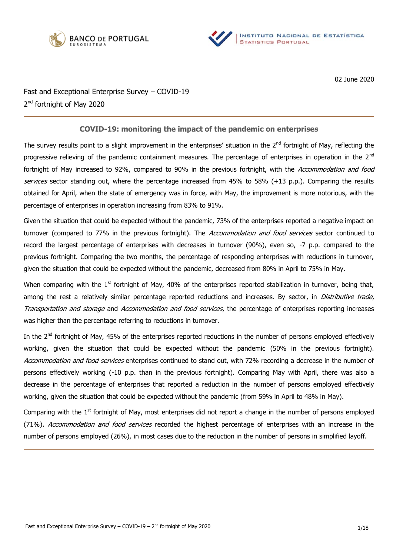



02 June 2020

Fast and Exceptional Enterprise Survey – COVID-19 2<sup>nd</sup> fortnight of May 2020

# **COVID-19: monitoring the impact of the pandemic on enterprises**

The survey results point to a slight improvement in the enterprises' situation in the  $2^{nd}$  fortnight of May, reflecting the progressive relieving of the pandemic containment measures. The percentage of enterprises in operation in the 2<sup>nd</sup> fortnight of May increased to 92%, compared to 90% in the previous fortnight, with the Accommodation and food services sector standing out, where the percentage increased from 45% to 58% (+13 p.p.). Comparing the results obtained for April, when the state of emergency was in force, with May, the improvement is more notorious, with the percentage of enterprises in operation increasing from 83% to 91%.

Given the situation that could be expected without the pandemic, 73% of the enterprises reported a negative impact on turnover (compared to 77% in the previous fortnight). The Accommodation and food services sector continued to record the largest percentage of enterprises with decreases in turnover (90%), even so, -7 p.p. compared to the previous fortnight. Comparing the two months, the percentage of responding enterprises with reductions in turnover, given the situation that could be expected without the pandemic, decreased from 80% in April to 75% in May.

When comparing with the  $1<sup>st</sup>$  fortnight of May, 40% of the enterprises reported stabilization in turnover, being that, among the rest a relatively similar percentage reported reductions and increases. By sector, in *Distributive trade*, Transportation and storage and Accommodation and food services, the percentage of enterprises reporting increases was higher than the percentage referring to reductions in turnover.

In the 2<sup>nd</sup> fortnight of May, 45% of the enterprises reported reductions in the number of persons employed effectively working, given the situation that could be expected without the pandemic (50% in the previous fortnight). Accommodation and food services enterprises continued to stand out, with 72% recording a decrease in the number of persons effectively working (-10 p.p. than in the previous fortnight). Comparing May with April, there was also a decrease in the percentage of enterprises that reported a reduction in the number of persons employed effectively working, given the situation that could be expected without the pandemic (from 59% in April to 48% in May).

Comparing with the 1<sup>st</sup> fortnight of May, most enterprises did not report a change in the number of persons employed (71%). Accommodation and food services recorded the highest percentage of enterprises with an increase in the number of persons employed (26%), in most cases due to the reduction in the number of persons in simplified layoff.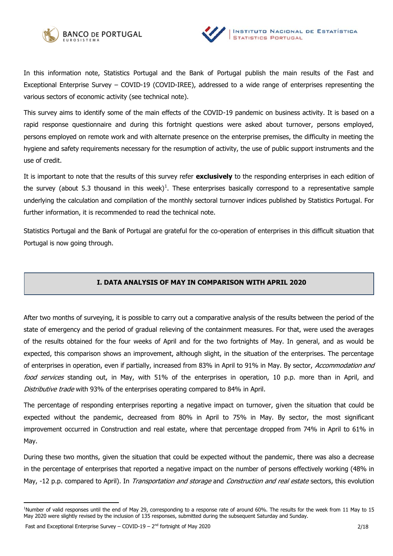



In this information note, Statistics Portugal and the Bank of Portugal publish the main results of the Fast and Exceptional Enterprise Survey – COVID-19 (COVID-IREE), addressed to a wide range of enterprises representing the various sectors of economic activity (see technical note).

This survey aims to identify some of the main effects of the COVID-19 pandemic on business activity. It is based on a rapid response questionnaire and during this fortnight questions were asked about turnover, persons employed, persons employed on remote work and with alternate presence on the enterprise premises, the difficulty in meeting the hygiene and safety requirements necessary for the resumption of activity, the use of public support instruments and the use of credit.

It is important to note that the results of this survey refer **exclusively** to the responding enterprises in each edition of the survey (about 5.3 thousand in this week)<sup>1</sup>. These enterprises basically correspond to a representative sample underlying the calculation and compilation of the monthly sectoral turnover indices published by Statistics Portugal. For further information, it is recommended to read the technical note.

Statistics Portugal and the Bank of Portugal are grateful for the co-operation of enterprises in this difficult situation that Portugal is now going through.

## **I. DATA ANALYSIS OF MAY IN COMPARISON WITH APRIL 2020**

After two months of surveying, it is possible to carry out a comparative analysis of the results between the period of the state of emergency and the period of gradual relieving of the containment measures. For that, were used the averages of the results obtained for the four weeks of April and for the two fortnights of May. In general, and as would be expected, this comparison shows an improvement, although slight, in the situation of the enterprises. The percentage of enterprises in operation, even if partially, increased from 83% in April to 91% in May. By sector, Accommodation and food services standing out, in May, with 51% of the enterprises in operation, 10 p.p. more than in April, and Distributive trade with 93% of the enterprises operating compared to 84% in April.

The percentage of responding enterprises reporting a negative impact on turnover, given the situation that could be expected without the pandemic, decreased from 80% in April to 75% in May. By sector, the most significant improvement occurred in Construction and real estate, where that percentage dropped from 74% in April to 61% in May.

During these two months, given the situation that could be expected without the pandemic, there was also a decrease in the percentage of enterprises that reported a negative impact on the number of persons effectively working (48% in May, -12 p.p. compared to April). In *Transportation and storage* and *Construction and real estate* sectors, this evolution

<sup>&</sup>lt;sup>1</sup>Number of valid responses until the end of May 29, corresponding to a response rate of around 60%. The results for the week from 11 May to 15 May 2020 were slightly revised by the inclusion of 135 responses, submitted during the subsequent Saturday and Sunday.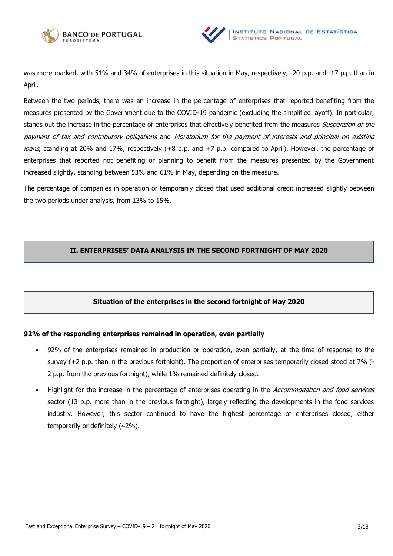



was more marked, with 51% and 34% of enterprises in this situation in May, respectively, -20 p.p. and -17 p.p. than in April.

Between the two periods, there was an increase in the percentage of enterprises that reported benefiting from the measures presented by the Government due to the COVID-19 pandemic (excluding the simplified layoff). In particular, stands out the increase in the percentage of enterprises that effectively benefited from the measures Suspension of the payment of tax and contributory obligations and Moratorium for the payment of interests and principal on existing loans, standing at 20% and 17%, respectively (+8 p.p. and +7 p.p. compared to April). However, the percentage of enterprises that reported not benefiting or planning to benefit from the measures presented by the Government increased slightly, standing between 53% and 61% in May, depending on the measure.

The percentage of companies in operation or temporarily closed that used additional credit increased slightly between the two periods under analysis, from 13% to 15%.

# **II. ENTERPRISES' DATA ANALYSIS IN THE SECOND FORTNIGHT OF MAY 2020**

## **Situation of the enterprises in the second fortnight of May 2020**

## **92% of the responding enterprises remained in operation, even partially**

- 92% of the enterprises remained in production or operation, even partially, at the time of response to the survey (+2 p.p. than in the previous fortnight). The proportion of enterprises temporarily closed stood at 7% (- 2 p.p. from the previous fortnight), while 1% remained definitely closed.
- Highlight for the increase in the percentage of enterprises operating in the *Accommodation and food services* sector (13 p.p. more than in the previous fortnight), largely reflecting the developments in the food services industry. However, this sector continued to have the highest percentage of enterprises closed, either temporarily or definitely (42%).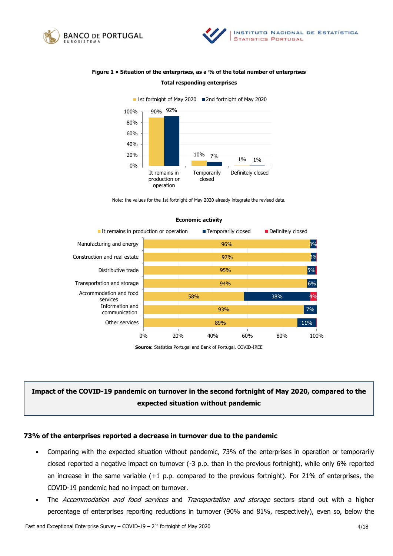



# **Figure 1 • Situation of the enterprises, as a % of the total number of enterprises Total responding enterprises**



Note: the values for the 1st fortnight of May 2020 already integrate the revised data.



#### **Economic activity**

**Source:** Statistics Portugal and Bank of Portugal, COVID-IREE

# **Impact of the COVID-19 pandemic on turnover in the second fortnight of May 2020, compared to the expected situation without pandemic**

#### **73% of the enterprises reported a decrease in turnover due to the pandemic**

- Comparing with the expected situation without pandemic, 73% of the enterprises in operation or temporarily closed reported a negative impact on turnover (-3 p.p. than in the previous fortnight), while only 6% reported an increase in the same variable (+1 p.p. compared to the previous fortnight). For 21% of enterprises, the COVID-19 pandemic had no impact on turnover.
- The Accommodation and food services and Transportation and storage sectors stand out with a higher percentage of enterprises reporting reductions in turnover (90% and 81%, respectively), even so, below the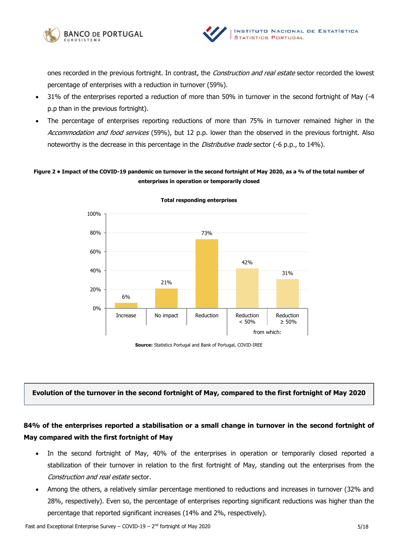



ones recorded in the previous fortnight. In contrast, the *Construction and real estate* sector recorded the lowest percentage of enterprises with a reduction in turnover (59%).

- 31% of the enterprises reported a reduction of more than 50% in turnover in the second fortnight of May (-4 p.p than in the previous fortnight).
- The percentage of enterprises reporting reductions of more than 75% in turnover remained higher in the Accommodation and food services (59%), but 12 p.p. lower than the observed in the previous fortnight. Also noteworthy is the decrease in this percentage in the *Distributive trade* sector (-6 p.p., to 14%).

## **Figure 2 • Impact of the COVID-19 pandemic on turnover in the second fortnight of May 2020, as a % of the total number of enterprises in operation or temporarily closed**



**Total responding enterprises** 

**Source:** Statistics Portugal and Bank of Portugal, COVID-IREE

## **Evolution of the turnover in the second fortnight of May, compared to the first fortnight of May 2020**

# **84% of the enterprises reported a stabilisation or a small change in turnover in the second fortnight of May compared with the first fortnight of May**

- In the second fortnight of May, 40% of the enterprises in operation or temporarily closed reported a stabilization of their turnover in relation to the first fortnight of May, standing out the enterprises from the Construction and real estate sector.
- Among the others, a relatively similar percentage mentioned to reductions and increases in turnover (32% and 28%, respectively). Even so, the percentage of enterprises reporting significant reductions was higher than the percentage that reported significant increases (14% and 2%, respectively).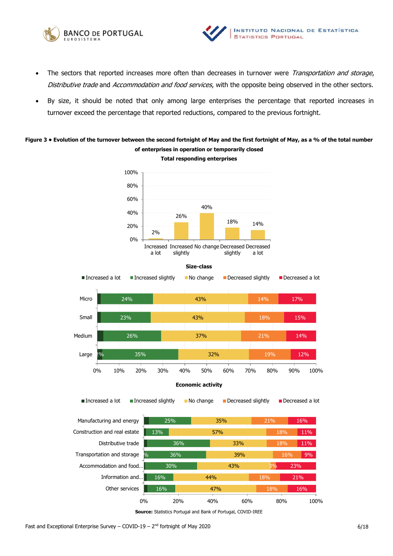



- The sectors that reported increases more often than decreases in turnover were Transportation and storage, Distributive trade and Accommodation and food services, with the opposite being observed in the other sectors.
- By size, it should be noted that only among large enterprises the percentage that reported increases in turnover exceed the percentage that reported reductions, compared to the previous fortnight.

# **Figure 3 • Evolution of the turnover between the second fortnight of May and the first fortnight of May, as a % of the total number of enterprises in operation or temporarily closed Total responding enterprises**

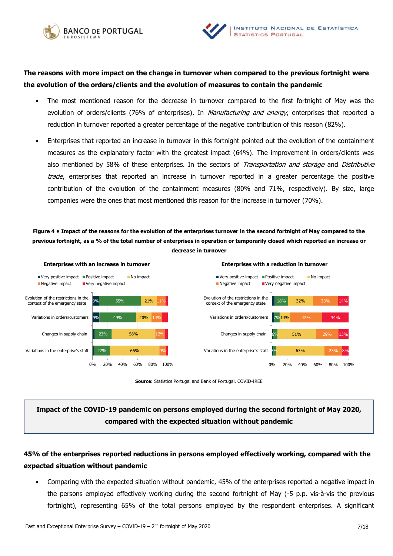



# **The reasons with more impact on the change in turnover when compared to the previous fortnight were the evolution of the orders/clients and the evolution of measures to contain the pandemic**

- The most mentioned reason for the decrease in turnover compared to the first fortnight of May was the evolution of orders/clients (76% of enterprises). In *Manufacturing and energy*, enterprises that reported a reduction in turnover reported a greater percentage of the negative contribution of this reason (82%).
- Enterprises that reported an increase in turnover in this fortnight pointed out the evolution of the containment measures as the explanatory factor with the greatest impact (64%). The improvement in orders/clients was also mentioned by 58% of these enterprises. In the sectors of Transportation and storage and Distributive trade, enterprises that reported an increase in turnover reported in a greater percentage the positive contribution of the evolution of the containment measures (80% and 71%, respectively). By size, large companies were the ones that most mentioned this reason for the increase in turnover (70%).

**Figure 4 • Impact of the reasons for the evolution of the enterprises turnover in the second fortnight of May compared to the previous fortnight, as a % of the total number of enterprises in operation or temporarily closed which reported an increase or decrease in turnover**



**Source:** Statistics Portugal and Bank of Portugal, COVID-IREE

# **Impact of the COVID-19 pandemic on persons employed during the second fortnight of May 2020, compared with the expected situation without pandemic**

# **45% of the enterprises reported reductions in persons employed effectively working, compared with the expected situation without pandemic**

 Comparing with the expected situation without pandemic, 45% of the enterprises reported a negative impact in the persons employed effectively working during the second fortnight of May (-5 p.p. vis-à-vis the previous fortnight), representing 65% of the total persons employed by the respondent enterprises. A significant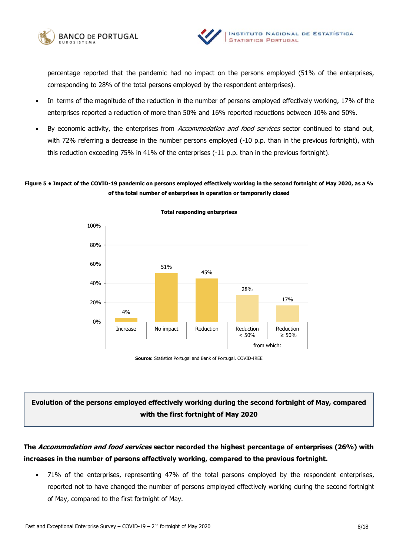



percentage reported that the pandemic had no impact on the persons employed (51% of the enterprises, corresponding to 28% of the total persons employed by the respondent enterprises).

- In terms of the magnitude of the reduction in the number of persons employed effectively working, 17% of the enterprises reported a reduction of more than 50% and 16% reported reductions between 10% and 50%.
- By economic activity, the enterprises from Accommodation and food services sector continued to stand out, with 72% referring a decrease in the number persons employed (-10 p.p. than in the previous fortnight), with this reduction exceeding 75% in 41% of the enterprises (-11 p.p. than in the previous fortnight).

## **Figure 5 • Impact of the COVID-19 pandemic on persons employed effectively working in the second fortnight of May 2020, as a % of the total number of enterprises in operation or temporarily closed**



**Total responding enterprises** 

**Source:** Statistics Portugal and Bank of Portugal, COVID-IREE

# **Evolution of the persons employed effectively working during the second fortnight of May, compared with the first fortnight of May 2020**

# **The Accommodation and food services sector recorded the highest percentage of enterprises (26%) with increases in the number of persons effectively working, compared to the previous fortnight.**

 71% of the enterprises, representing 47% of the total persons employed by the respondent enterprises, reported not to have changed the number of persons employed effectively working during the second fortnight of May, compared to the first fortnight of May.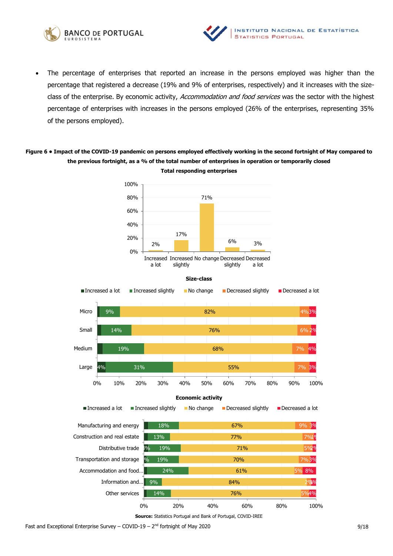



 The percentage of enterprises that reported an increase in the persons employed was higher than the percentage that registered a decrease (19% and 9% of enterprises, respectively) and it increases with the sizeclass of the enterprise. By economic activity, Accommodation and food services was the sector with the highest percentage of enterprises with increases in the persons employed (26% of the enterprises, representing 35% of the persons employed).

# **Figure 6 • Impact of the COVID-19 pandemic on persons employed effectively working in the second fortnight of May compared to the previous fortnight, as a % of the total number of enterprises in operation or temporarily closed Total responding enterprises**







**Source:** Statistics Portugal and Bank of Portugal, COVID-IREE

Fast and Exceptional Enterprise Survey – COVID-19 –  $2^{nd}$  fortnight of May 2020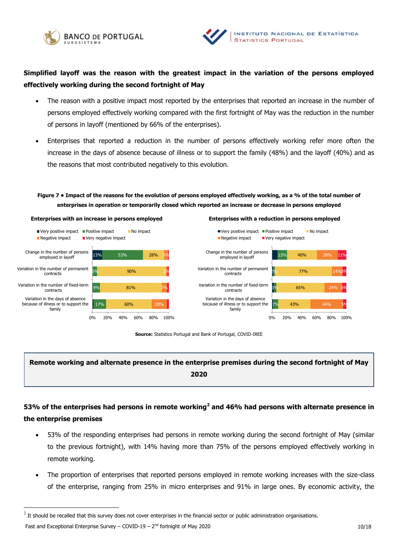



# **Simplified layoff was the reason with the greatest impact in the variation of the persons employed effectively working during the second fortnight of May**

- The reason with a positive impact most reported by the enterprises that reported an increase in the number of persons employed effectively working compared with the first fortnight of May was the reduction in the number of persons in layoff (mentioned by 66% of the enterprises).
- Enterprises that reported a reduction in the number of persons effectively working refer more often the increase in the days of absence because of illness or to support the family (48%) and the layoff (40%) and as the reasons that most contributed negatively to this evolution.

# **Figure 7 • Impact of the reasons for the evolution of persons employed effectively working, as a % of the total number of enterprises in operation or temporarily closed which reported an increase or decrease in persons employed**









# **Remote working and alternate presence in the enterprise premises during the second fortnight of May 2020**

# **53% of the enterprises had persons in remote working<sup>2</sup> and 46% had persons with alternate presence in the enterprise premises**

- 53% of the responding enterprises had persons in remote working during the second fortnight of May (similar to the previous fortnight), with 14% having more than 75% of the persons employed effectively working in remote working.
- The proportion of enterprises that reported persons employed in remote working increases with the size-class of the enterprise, ranging from 25% in micro enterprises and 91% in large ones. By economic activity, the

 $^2$  It should be recalled that this survey does not cover enterprises in the financial sector or public administration organisations.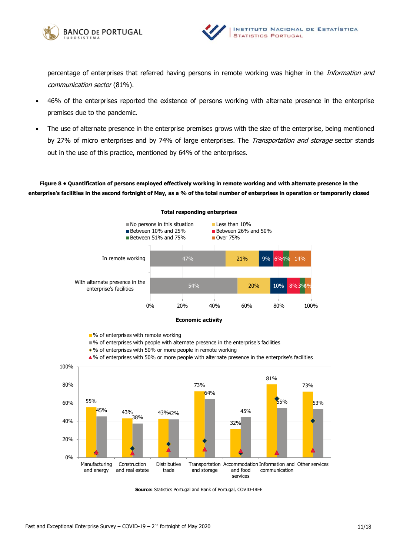



percentage of enterprises that referred having persons in remote working was higher in the Information and communication sector (81%).

- 46% of the enterprises reported the existence of persons working with alternate presence in the enterprise premises due to the pandemic.
- The use of alternate presence in the enterprise premises grows with the size of the enterprise, being mentioned by 27% of micro enterprises and by 74% of large enterprises. The *Transportation and storage* sector stands out in the use of this practice, mentioned by 64% of the enterprises.

**Figure 8 • Quantification of persons employed effectively working in remote working and with alternate presence in the enterprise's facilities in the second fortnight of May, as a % of the total number of enterprises in operation or temporarily closed** 



#### **Total responding enterprises**



■ % of enterprises with remote working

- % of enterprises with people with alternate presence in the enterprise's facilities
- % of enterprises with 50% or more people in remote working

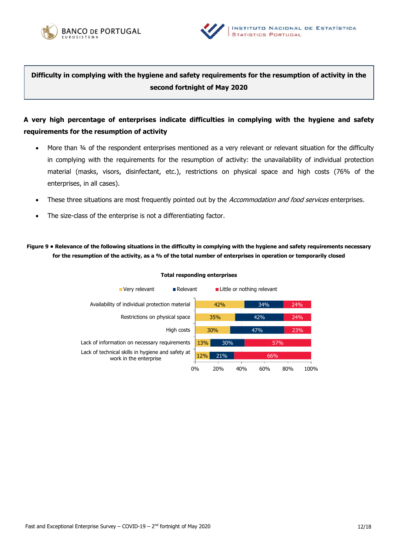



**Difficulty in complying with the hygiene and safety requirements for the resumption of activity in the second fortnight of May 2020**

# **A very high percentage of enterprises indicate difficulties in complying with the hygiene and safety requirements for the resumption of activity**

- More than 34 of the respondent enterprises mentioned as a very relevant or relevant situation for the difficulty in complying with the requirements for the resumption of activity: the unavailability of individual protection material (masks, visors, disinfectant, etc.), restrictions on physical space and high costs (76% of the enterprises, in all cases).
- These three situations are most frequently pointed out by the *Accommodation and food services* enterprises.
- The size-class of the enterprise is not a differentiating factor.

**Figure 9 • Relevance of the following situations in the difficulty in complying with the hygiene and safety requirements necessary for the resumption of the activity, as a % of the total number of enterprises in operation or temporarily closed**



#### **Total responding enterprises**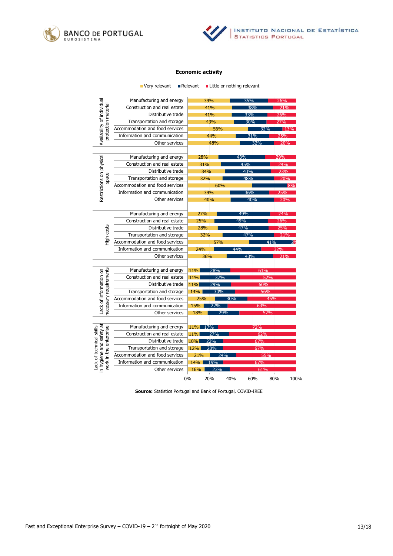



#### **Economic activity**

|                                                                                | Very relevant                   | Relevant   |     | ■ Little or nothing relevant |     |      |
|--------------------------------------------------------------------------------|---------------------------------|------------|-----|------------------------------|-----|------|
| Availability of individual<br>protection material                              | Manufacturing and energy        |            | 39% | 35%                          |     | 26%  |
|                                                                                | Construction and real estate    |            | 41% | 38%                          |     | 71%  |
|                                                                                | Distributive trade              |            | 41% | 33%                          |     | 26%  |
|                                                                                | Transportation and storage      |            | 43% | 30%                          |     | 27%  |
|                                                                                | Accommodation and food services |            | 56% |                              | 32% | 13%  |
|                                                                                | Information and communication   |            | 44% | 31%                          |     | 25%  |
|                                                                                | Other services                  |            | 48% |                              | 32% | 20%  |
|                                                                                |                                 |            |     |                              |     |      |
| Restrictions on physical<br>space                                              | Manufacturing and energy        | 28%        |     | 43%                          |     | 29%  |
|                                                                                | Construction and real estate    | 31%        |     | 45%                          |     | 74%  |
|                                                                                | Distributive trade              | 34%        |     | 43%                          |     | 23%  |
|                                                                                | Transportation and storage      | 32%        |     | 48%                          |     | 20%  |
|                                                                                | Accommodation and food services |            | 60% |                              |     | 8%   |
|                                                                                | Information and communication   |            | 39% | 36%                          |     | 25%  |
|                                                                                | Other services                  |            | 40% | 40%                          |     | 20%  |
|                                                                                |                                 |            |     |                              |     |      |
| High costs                                                                     | Manufacturing and energy        | 27%        |     | 49%                          |     | 24%  |
|                                                                                | Construction and real estate    | 25%        |     | 49%                          |     | 26%  |
|                                                                                | Distributive trade              | 28%        |     | 47%                          |     | 25%  |
|                                                                                | Transportation and storage      | 32%        |     | 47%                          |     | 21%  |
|                                                                                | Accommodation and food services |            | 57% |                              | 41% |      |
|                                                                                | Information and communication   | 24%        |     | 44%                          |     | 32%  |
|                                                                                | Other services                  |            | 36% | 43%                          |     | 21%  |
|                                                                                |                                 |            |     |                              |     |      |
| necessary requirements<br>Lack of information on                               | Manufacturing and energy        | $11\%$     | 28% |                              | 61% |      |
|                                                                                | Construction and real estate    | 11%        | 37% |                              | 52% |      |
|                                                                                | Distributive trade              | 11%        | 29% |                              | 60% |      |
|                                                                                | Transportation and storage      | 14%        | 30% |                              | 56% |      |
|                                                                                | Accommodation and food services | 25%        |     | 30%                          | 45% |      |
|                                                                                | Information and communication   | 15%        | 22% |                              | 63% |      |
|                                                                                | Other services                  | 18%        | 29% |                              | 52% |      |
|                                                                                |                                 |            |     |                              |     |      |
| in hygiene and safety at<br>Lack of technical skills<br>work in the enterprise | Manufacturing and energy        | $11\%$     | 17% |                              | 72% |      |
|                                                                                | Construction and real estate    | 11%<br>27% |     |                              | 62% |      |
|                                                                                | Distributive trade              | 10%<br>22% |     |                              | 67% |      |
|                                                                                | Transportation and storage      | 12% 20%    |     |                              | 67% |      |
|                                                                                | Accommodation and food services | 21%        | 74% |                              | 55% |      |
|                                                                                | Information and communication   | 14%        | 19% |                              | 67% |      |
|                                                                                | Other services                  | 16%        | 23% |                              | 61% |      |
|                                                                                |                                 | 0%         | 20% | 40%<br>60%                   | 80% | 100% |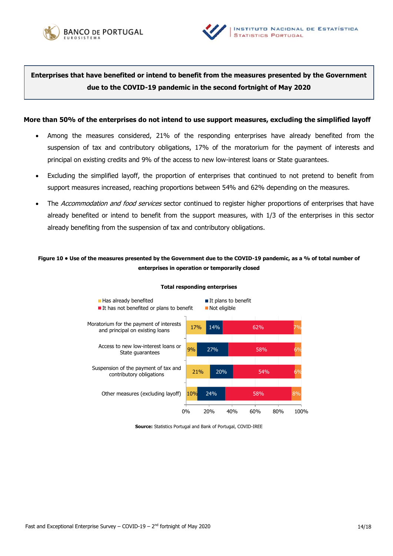



**Enterprises that have benefited or intend to benefit from the measures presented by the Government due to the COVID-19 pandemic in the second fortnight of May 2020**

#### **More than 50% of the enterprises do not intend to use support measures, excluding the simplified layoff**

- Among the measures considered, 21% of the responding enterprises have already benefited from the suspension of tax and contributory obligations, 17% of the moratorium for the payment of interests and principal on existing credits and 9% of the access to new low-interest loans or State guarantees.
- Excluding the simplified layoff, the proportion of enterprises that continued to not pretend to benefit from support measures increased, reaching proportions between 54% and 62% depending on the measures.
- The Accommodation and food services sector continued to register higher proportions of enterprises that have already benefited or intend to benefit from the support measures, with 1/3 of the enterprises in this sector already benefiting from the suspension of tax and contributory obligations.

## **Figure 10 • Use of the measures presented by the Government due to the COVID-19 pandemic, as a % of total number of enterprises in operation or temporarily closed**



#### **Total responding enterprises**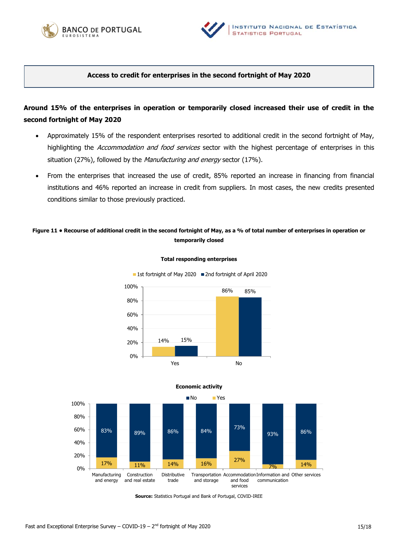



## **Access to credit for enterprises in the second fortnight of May 2020**

# **Around 15% of the enterprises in operation or temporarily closed increased their use of credit in the second fortnight of May 2020**

- Approximately 15% of the respondent enterprises resorted to additional credit in the second fortnight of May, highlighting the Accommodation and food services sector with the highest percentage of enterprises in this situation (27%), followed by the Manufacturing and energy sector (17%).
- From the enterprises that increased the use of credit, 85% reported an increase in financing from financial institutions and 46% reported an increase in credit from suppliers. In most cases, the new credits presented conditions similar to those previously practiced.

## **Figure 11 • Recourse of additional credit in the second fortnight of May, as a % of total number of enterprises in operation or temporarily closed**

**Total responding enterprises** 

■ 1st fortnight of May 2020 ■ 2nd fortnight of April 2020





### **Economic activity**

**Source:** Statistics Portugal and Bank of Portugal, COVID-IREE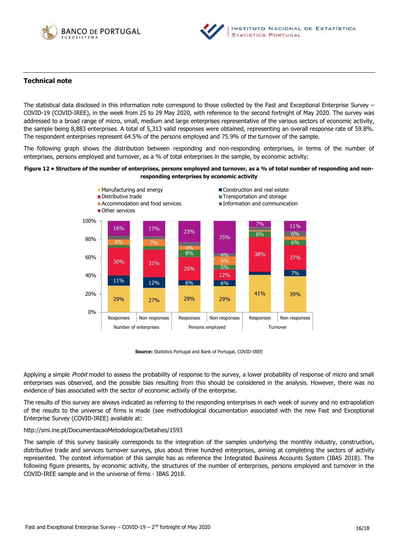



## **Technical note**

The statistical data disclosed in this information note correspond to those collected by the Fast and Exceptional Enterprise Survey – COVID-19 (COVID-IREE), in the week from 25 to 29 May 2020, with reference to the second fortnight of May 2020. The survey was addressed to a broad range of micro, small, medium and large enterprises representative of the various sectors of economic activity, the sample being 8,883 enterprises. A total of 5,313 valid responses were obtained, representing an overall response rate of 59.8%. The respondent enterprises represent 64.5% of the persons employed and 75.9% of the turnover of the sample.

The following graph shows the distribution between responding and non-responding enterprises, in terms of the number of enterprises, persons employed and turnover, as a % of total enterprises in the sample, by economic activity:

#### **Figure 12 • Structure of the number of enterprises, persons employed and turnover, as a % of total number of responding and nonresponding enterprises by economic activity**



**Source:** Statistics Portugal and Bank of Portugal, COVID-IREE

Applying a simple *Probit* model to assess the probability of response to the survey, a lower probability of response of micro and small enterprises was observed, and the possible bias resulting from this should be considered in the analysis. However, there was no evidence of bias associated with the sector of economic activity of the enterprise.

The results of this survey are always indicated as referring to the responding enterprises in each week of survey and no extrapolation of the results to the universe of firms is made (see methodological documentation associated with the new Fast and Exceptional Enterprise Survey (COVID-IREE) available at:

#### <http://smi.ine.pt/DocumentacaoMetodologica/Detalhes/1593>

The sample of this survey basically corresponds to the integration of the samples underlying the monthly industry, construction, distributive trade and services turnover surveys, plus about three hundred enterprises, aiming at completing the sectors of activity represented. The context information of this sample has as reference the Integrated Business Accounts System (IBAS 2018). The following figure presents, by economic activity, the structures of the number of enterprises, persons employed and turnover in the COVID-IREE sample and in the universe of firms - IBAS 2018.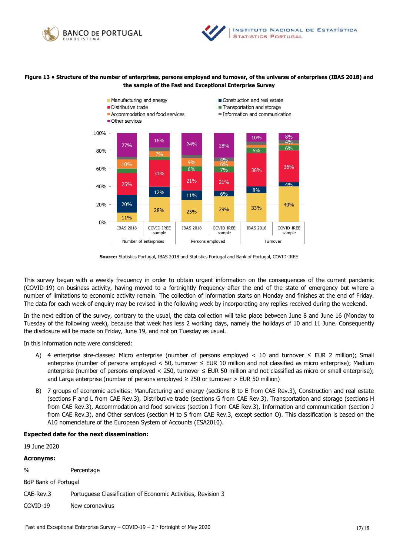



#### **Figure 13 • Structure of the number of enterprises, persons employed and turnover, of the universe of enterprises (IBAS 2018) and the sample of the Fast and Exceptional Enterprise Survey**



**Source:** Statistics Portugal, IBAS 2018 and Statistics Portugal and Bank of Portugal, COVID-IREE

This survey began with a weekly frequency in order to obtain urgent information on the consequences of the current pandemic (COVID-19) on business activity, having moved to a fortnightly frequency after the end of the state of emergency but where a number of limitations to economic activity remain. The collection of information starts on Monday and finishes at the end of Friday. The data for each week of enquiry may be revised in the following week by incorporating any replies received during the weekend.

In the next edition of the survey, contrary to the usual, the data collection will take place between June 8 and June 16 (Monday to Tuesday of the following week), because that week has less 2 working days, namely the holidays of 10 and 11 June. Consequently the disclosure will be made on Friday, June 19, and not on Tuesday as usual.

In this information note were considered:

- A) 4 enterprise size-classes: Micro enterprise (number of persons employed < 10 and turnover  $\leq$  EUR 2 million); Small enterprise (number of persons employed < 50, turnover  $\leq$  EUR 10 million and not classified as micro enterprise); Medium enterprise (number of persons employed < 250, turnover ≤ EUR 50 million and not classified as micro or small enterprise); and Large enterprise (number of persons employed  $\geq$  250 or turnover  $>$  EUR 50 million)
- B) 7 groups of economic activities: Manufacturing and energy (sections B to E from CAE Rev.3), Construction and real estate (sections F and L from CAE Rev.3), Distributive trade (sections G from CAE Rev.3), Transportation and storage (sections H from CAE Rev.3), Accommodation and food services (section I from CAE Rev.3), Information and communication (section J from CAE Rev.3), and Other services (section M to S from CAE Rev.3, except section O). This classification is based on the A10 nomenclature of the European System of Accounts (ESA2010).

#### **Expected date for the next dissemination:**

19 June 2020

#### **Acronyms:**

% Percentage

BdP Bank of Portugal

CAE-Rev.3 Portuguese Classification of Economic Activities, Revision 3

COVID-19 New coronavirus